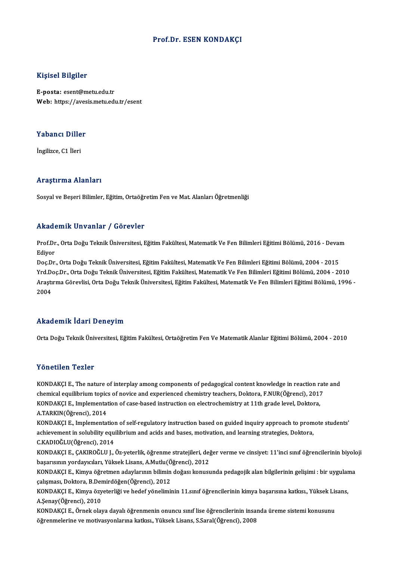#### Prof.Dr. ESEN KONDAKÇI

#### Kişisel Bilgiler

E-posta: esent@metu.edu.tr Web: https://avesis.metu.edu.tr/esent

### Yabancı Diller<br>Yabancı Diller Y<mark>abancı Dille</mark><br>İngilizce, C1 İleri

## İngilizce, C1 İleri<br>Araştırma Alanları

Sosyal ve Beşeri Bilimler, Eğitim, Ortaöğretim Fen ve Mat. Alanları Öğretmenliği

#### Akademik Unvanlar / Görevler

Akademik Unvanlar / Görevler<br>Prof.Dr., Orta Doğu Teknik Üniversitesi, Eğitim Fakültesi, Matematik Ve Fen Bilimleri Eğitimi Bölümü, 2016 - Devam<br>Ediyar rmaa<br>Prof.Dr<br>Ediyor Prof.Dr., Orta Doğu Teknik Üniversitesi, Eğitim Fakültesi, Matematik Ve Fen Bilimleri Eğitimi Bölümü, 2016 - Devai<br>Ediyor<br>Doç.Dr., Orta Doğu Teknik Üniversitesi, Eğitim Fakültesi, Matematik Ve Fen Bilimleri Eğitimi Bölümü,

Ediyor<br>Doç.Dr., Orta Doğu Teknik Üniversitesi, Eğitim Fakültesi, Matematik Ve Fen Bilimleri Eğitimi Bölümü, 2004 - 2015<br>Yrd.Doç.Dr., Orta Doğu Teknik Üniversitesi, Eğitim Fakültesi, Matematik Ve Fen Bilimleri Eğitimi Bölüm Doç.Dr., Orta Doğu Teknik Üniversitesi, Eğitim Fakültesi, Matematik Ve Fen Bilimleri Eğitimi Bölümü, 2004 - 2015<br>Yrd.Doç.Dr., Orta Doğu Teknik Üniversitesi, Eğitim Fakültesi, Matematik Ve Fen Bilimleri Eğitimi Bölümü, 2004 Yrd D<br>Araştı<br>2004

## 2004<br>Akademik İdari Deneyim

Orta Doğu Teknik Üniversitesi, Eğitim Fakültesi, Ortaöğretim Fen Ve Matematik Alanlar Eğitimi Bölümü, 2004 - 2010

#### Yönetilen Tezler

KONDAKÇI E., The nature of interplay among components of pedagogical content knowledge in reaction rate and chemical equilibrium to finterplay among components of pedagogical content knowledge in reaction rat<br>chemical equilibrium topics of novice and experienced chemistry teachers, Doktora, F.NUR(Öğrenci), 2017<br>KONDAKCLE, Implem KONDAKÇI E., The nature of interplay among components of pedagogical content knowledge in reaction raction rac<br>chemical equilibrium topics of novice and experienced chemistry teachers, Doktora, F.NUR(Öğrenci), 2017<br>KONDAKÇ chemical equilibrium topic:<br>KONDAKÇI E., Implementat<br>A.TARKIN(Öğrenci), 2014<br>KONDAKÇI E. Implementat KONDAKÇI E., Implementation of case-based instruction on electrochemistry at 11th grade level, Doktora,<br>A.TARKIN(Öğrenci), 2014<br>KONDAKÇI E., Implementation of self-regulatory instruction based on guided inquiry approach to

A.TARKIN(Öğrenci), 2014<br>KONDAKÇI E., Implementation of self-regulatory instruction based on guided inquiry approach to prom<br>achievement in solubility equilibrium and acids and bases, motivation, and learning strategies, Do KONDAKÇI E., Implementation<br>achievement in solubility equi<br>C.KADIOĞLU(Öğrenci), 2014<br>KONDAKÇI E. CAKIBOĞLU L

C.KADIOĞLU(Öğrenci), 2014<br>KONDAKÇI E., ÇAKIROĞLU J., Öz-yeterlik, öğrenme stratejileri, değer verme ve cinsiyet: 11'inci sınıf öğrencilerinin biyoloji C.KADIOĞLU(Öğrenci), 2014<br>KONDAKÇI E., ÇAKIROĞLU J., Öz-yeterlik, öğrenme stratejileri, değ<br>başarısının yordayıcıları, Yüksek Lisans, A.Mutlu(Öğrenci), 2012<br>KONDAKÇI E. Kimuş öğretmen adaylarının bilimin doğası kanusu KONDAKÇI E., ÇAKIROĞLU J., Öz-yeterlik, öğrenme stratejileri, değer verme ve cinsiyet: 11'inci sınıf öğrencilerinin biyolc<br>başarısının yordayıcıları, Yüksek Lisans, A.Mutlu(Öğrenci), 2012<br>KONDAKÇI E., Kimya öğretmen adayla

başarısının yordayıcıları, Yüksek Lisans, A.Mutlu(Ö<br>KONDAKÇI E., Kimya öğretmen adaylarının bilimin<br>çalışması, Doktora, B.Demirdöğen(Öğrenci), 2012<br>KONDAKÇI E. Kimya öğyeterliği ve bedef vönelimi KONDAKÇI E., Kimya öğretmen adaylarının bilimin doğası konusunda pedagojik alan bilgilerinin gelişimi : bir uygular<br>çalışması, Doktora, B.Demirdöğen(Öğrenci), 2012<br>KONDAKÇI E., Kimya özyeterliği ve hedef yöneliminin 11.sın

çalışması, Doktora, B.Der<br>KONDAKÇI E., Kimya özy<br>A.Şenay(Öğrenci), 2010<br>KONDAKÇI E., Örnek eler KONDAKÇI E., Kimya özyeterliği ve hedef yöneliminin 11.sınıf öğrencilerinin kimya başarısına katkısı., Yüksek Lis<br>A.Şenay(Öğrenci), 2010<br>KONDAKÇI E., Örnek olaya dayalı öğrenmenin onuncu sınıf lise öğrencilerinin insanda ü

A.Şenay(Öğrenci), 2010<br>KONDAKÇI E., Örnek olaya dayalı öğrenmenin onuncu sınıf lise öğrencilerinin insanda üreme sistemi konusunu<br>öğrenmelerine ve motivasyonlarına katkısı., Yüksek Lisans, S.Saral(Öğrenci), 2008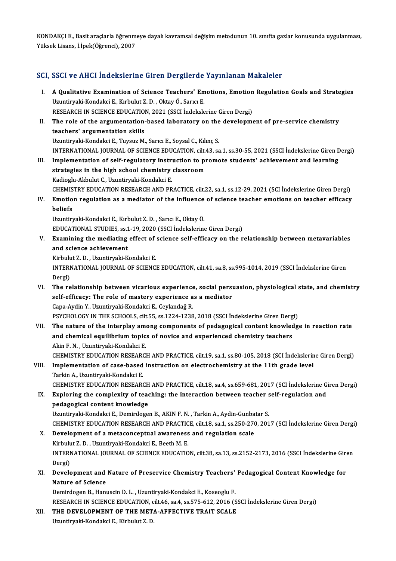KONDAKÇI E., Basit araçlarla öğrenmeye dayalı kavramsal değişim metodunun 10. sınıfta gazlar konusunda uygulanması, YüksekLisans, İ.İpek(Öğrenci),2007

#### SCI, SSCI ve AHCI İndekslerine Giren Dergilerde Yayınlanan Makaleler

CI, SSCI ve AHCI İndekslerine Giren Dergilerde Yayınlanan Makaleler<br>I. A Qualitative Examination of Science Teachers' Emotions, Emotion Regulation Goals and Strategies<br>Umptimeli Kondaksi E. Kurbulut 7. D. Oktav Ö. Sangu E UZUNTUR INTERNATIVALE EN DE SISTETE<br>A Qualitative Examination of Science Teachers' Em<br>Uzuntiryaki-Kondakci E., Kırbulut Z. D., Oktay Ö., Sarıcı E. A Qualitative Examination of Science Teachers' Emotions, Emotion<br>Uzuntiryaki-Kondakci E., Kırbulut Z. D. , Oktay Ö., Sarıcı E.<br>RESEARCH IN SCIENCE EDUCATION, 2021 (SSCI İndekslerine Giren Dergi)<br>The role of the argumentati Uzuntiryaki-Kondakci E., Kırbulut Z. D. , Oktay Ö., Sarıcı E.<br>RESEARCH IN SCIENCE EDUCATION, 2021 (SSCI İndekslerine Giren Dergi)<br>II. The role of the argumentation-based laboratory on the development of pre-service che RESEARCH IN SCIENCE EDUCATION, 2021 (SSCI Indekslerine Giren Dergi) Uzuntiryaki-Kondakci E., Tuysuz M., Sarıcı E., Soysal C., Kılınç S. teachers' argumentation skills<br>Uzuntiryaki-Kondakci E., Tuysuz M., Sarıcı E., Soysal C., Kılınç S.<br>INTERNATIONAL JOURNAL OF SCIENCE EDUCATION, cilt.43, sa.1, ss.30-55, 2021 (SSCI İndekslerine Giren Dergi)<br>Implementation of Uzuntiryaki-Kondakci E., Tuysuz M., Sarıcı E., Soysal C., Kılınç S.<br>INTERNATIONAL JOURNAL OF SCIENCE EDUCATION, cilt.43, sa.1, ss.30-55, 2021 (SSCI İndekslerine Giren D.<br>III. Implementation of self-regulatory instruction t INTERNATIONAL JOURNAL OF SCIENCE EDUCATION, cilt.<br>Implementation of self-regulatory instruction to pi<br>strategies in the high school chemistry classroom<br>Vadiagly Althulut C. Umptimaki Kandakai E Implementation of self-regulatory instri<br>strategies in the high school chemistry<br>Kadioglu-Akbulut C., Uzuntiryaki-Kondakci E.<br>CHEMISTRY EDUCATION RESEARCH AND PR strategies in the high school chemistry classroom<br>Kadioglu-Akbulut C., Uzuntiryaki-Kondakci E.<br>CHEMISTRY EDUCATION RESEARCH AND PRACTICE, cilt.22, sa.1, ss.12-29, 2021 (SCI İndekslerine Giren Dergi)<br>Emetian nagylation as a Kadioglu-Akbulut C., Uzuntiryaki-Kondakci E.<br>CHEMISTRY EDUCATION RESEARCH AND PRACTICE, cilt.22, sa.1, ss.12-29, 2021 (SCI İndekslerine Giren Dergi)<br>IV. Emotion regulation as a mediator of the influence of science teacher CHEMIS<br><mark>Emotio</mark><br>beliefs Emotion regulation as a mediator of the influence<br>beliefs<br>Uzuntiryaki-Kondakci E., Kırbulut Z. D. , Sarıcı E., Oktay Ö.<br>EDUCATIONAL STUDIES ss 1 19 2020 (SSCL İndekslering beliefs<br>Uzuntiryaki-Kondakci E., Kırbulut Z. D. , Sarıcı E., Oktay Ö.<br>EDUCATIONAL STUDIES, ss.1-19, 2020 (SSCI İndekslerine Giren Dergi) Vzuntiryaki-Kondakci E., Kırbulut Z. D. , Sarıcı E., Oktay Ö.<br>EDUCATIONAL STUDIES, ss.1-19, 2020 (SSCI İndekslerine Giren Dergi)<br>V. Examining the mediating effect of science self-efficacy on the relationship between metava and science achievement Examining the mediating effect of<br>and science achievement<br>Kirbulut Z.D. , Uzuntiryaki-Kondakci E.<br>INTERNATIONAL JOURNAL OF SCIENCI INTERNATIONAL JOURNAL OF SCIENCE EDUCATION, cilt.41, sa.8, ss.995-1014, 2019 (SSCI İndekslerine Giren<br>Dergi) Kirbulut Z. D., Uzuntiryaki-Kondakci E. INTERNATIONAL JOURNAL OF SCIENCE EDUCATION, cilt.41, sa.8, ss.995-1014, 2019 (SSCI Indekslerine Giren<br>Dergi)<br>VI. The relationship between vicarious experience, social persuasion, physiological state, and chemistry<br>self eff Dergi)<br>The relationship between vicarious experience, social persi<br>self-efficacy: The role of mastery experience as a mediator<br>Cana Aydin V. Umutiweki Kondeksi E. Covlandeğ B The relationship between vicarious experience<br>self-efficacy: The role of mastery experience a<br>Capa-Aydin Y., Uzuntiryaki-Kondakci E., Ceylandağ R.<br>PSYCHOLOCY IN THE SCHOOLS silt EE se 1224-1228 self-efficacy: The role of mastery experience as a mediator<br>Capa-Aydin Y., Uzuntiryaki-Kondakci E., Ceylandağ R.<br>PSYCHOLOGY IN THE SCHOOLS, cilt.55, ss.1224-1238, 2018 (SSCI İndekslerine Giren Dergi)<br>The nature of the inte Capa-Aydin Y., Uzuntiryaki-Kondakci E., Ceylandağ R.<br>PSYCHOLOGY IN THE SCHOOLS, cilt.55, ss.1224-1238, 2018 (SSCI İndekslerine Giren Dergi)<br>VII. The nature of the interplay among components of pedagogical content knowledge PSYCHOLOGY IN THE SCHOOLS, cilt.55, ss.1224-1238, 2018 (SSCI İndekslerine Giren Derg<br>The nature of the interplay among components of pedagogical content knowled<br>and chemical equilibrium topics of novice and experienced che The nature of the interplay amend chemical equilibrium topic<br>Akin F. N. , Uzuntiryaki-Kondakci E.<br>CHEMISTRY EDUCATION RESEARC and chemical equilibrium topics of novice and experienced chemistry teachers<br>Akin F. N. , Uzuntiryaki-Kondakci E.<br>CHEMISTRY EDUCATION RESEARCH AND PRACTICE, cilt.19, sa.1, ss.80-105, 2018 (SCI İndekslerine Giren Dergi)<br>Imp Akin F. N. , Uzuntiryaki-Kondakci E.<br>CHEMISTRY EDUCATION RESEARCH AND PRACTICE, cilt.19, sa.1, ss.80-105, 2018 (SCI İndekslerin<br>VIII. Implementation of case-based instruction on electrochemistry at the 11th grade level<br>Tar CHEMISTRY EDUCATION RESEAR<br>Implementation of case-based<br>Tarkin A., Uzuntiryaki-Kondakci E.<br>CHEMISTRY EDUCATION RESEARC CHEMISTRY EDUCATION RESEARCH AND PRACTICE, cilt.18, sa.4, ss.659-681, 2017 (SCI İndekslerine Giren Dergi) IX. Exploring the complexity of teaching: the interaction between teacher self-regulation and pedagogical content knowledge Exploring the complexity of teaching: the interaction between teacher s<br>pedagogical content knowledge<br>Uzuntiryaki-Kondakci E., Demirdogen B., AKIN F. N. , Tarkin A., Aydin-Gunbatar S.<br>CHEMISTRY EDUCATION RESEARCH AND RRACT pedagogical content knowledge<br>Uzuntiryaki-Kondakci E., Demirdogen B., AKIN F. N. , Tarkin A., Aydin-Gunbatar S.<br>CHEMISTRY EDUCATION RESEARCH AND PRACTICE, cilt.18, sa.1, ss.250-270, 2017 (SCI İndekslerine Giren Dergi)<br>Deve Uzuntiryaki-Kondakci E., Demirdogen B., AKIN F. N. , Tarkin A., Aydin-Gunba<br>CHEMISTRY EDUCATION RESEARCH AND PRACTICE, cilt.18, sa.1, ss.250-27(<br>X. Development of a metaconceptual awareness and regulation scale<br>Kirbulut 7. CHEMISTRY EDUCATION RESEARCH AND PRACTIC<br>Development of a metaconceptual awareness<br>Kirbulut Z. D. , Uzuntiryaki-Kondakci E., Beeth M. E.<br>INTERNATIONAL JOURNAL OF SCIENCE EDUCATIO Development of a metaconceptual awareness and regulation scale<br>Kirbulut Z. D., Uzuntiryaki-Kondakci E., Beeth M. E.<br>INTERNATIONAL JOURNAL OF SCIENCE EDUCATION, cilt.38, sa.13, ss.2152-2173, 2016 (SSCI İndekslerine Giren<br>De Kirbulut Z. D., Uzuntiryaki-Kondakci E., Beeth M. E. INTERNATIONAL JOURNAL OF SCIENCE EDUCATION, cilt.38, sa.13, ss.2152-2173, 2016 (SSCI İndekslerine Gire<br>Dergi)<br>XI. Development and Nature of Preservice Chemistry Teachers' Pedagogical Content Knowledge for<br>Nature of Science Dergi)<br>Development and<br>Nature of Science<br>Demindesen B. Han Development and Nature of Preservice Chemistry Teachers'<br>Nature of Science<br>Demirdogen B., Hanuscin D. L. , Uzuntiryaki-Kondakci E., Koseoglu F.<br>RESEARCH IN SCIENCE EDUCATION silt 46 sa 4 se 575 612 2016 (S Nature of Science<br>Demirdogen B., Hanuscin D. L. , Uzuntiryaki-Kondakci E., Koseoglu F.<br>RESEARCH IN SCIENCE EDUCATION, cilt.46, sa.4, ss.575-612, 2016 (SSCI İndekslerine Giren Dergi)<br>THE DEVELOPMENT OF THE META AFFECTIVE TP Demirdogen B., Hanuscin D. L., Uzuntiryaki-Kondakci E., Koseoglu F.<br>RESEARCH IN SCIENCE EDUCATION, cilt.46, sa.4, ss.575-612, 2016 (S.<br>XII. THE DEVELOPMENT OF THE META-AFFECTIVE TRAIT SCALE RESEARCH IN SCIENCE EDUCATION, c<br>THE DEVELOP<mark>MENT OF THE MET.</mark><br>Uzuntiryaki-Kondakci E., Kirbulut Z. D.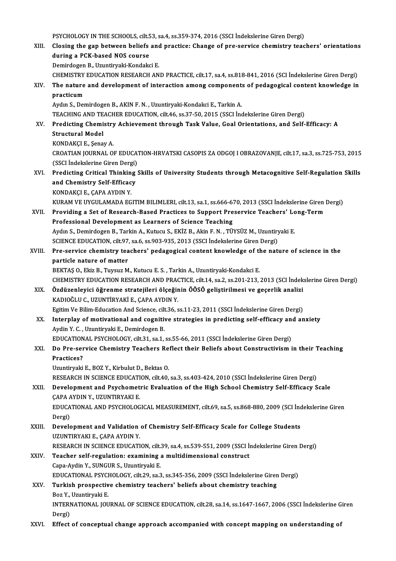#### PSYCHOLOGY IN THE SCHOOLS, cilt.53, sa.4, ss.359-374, 2016 (SSCI İndekslerine Giren Dergi)<br>Clasing the gan hatyveen heliafs and practice: Change of pre-service shemistry teas XIII. Closing the gap between beliefs and practice: Change of pre-service chemistry teachers' orientations during a PCK-based NOS course PSYCHOLOGY IN THE SCHOOLS, cilt.5<br>Closing the gap between beliefs<br>during a PCK-based NOS course Demirdogen B., Uzuntiryaki-Kondakci E. during a PCK-based NOS course<br>Demirdogen B., Uzuntiryaki-Kondakci E.<br>CHEMISTRY EDUCATION RESEARCH AND PRACTICE, cilt.17, sa.4, ss.818-841, 2016 (SCI İndekslerine Giren Dergi)<br>The nature and development of interaction ameng Demirdogen B., Uzuntiryaki-Kondakci E.<br>CHEMISTRY EDUCATION RESEARCH AND PRACTICE, cilt.17, sa.4, ss.818-841, 2016 (SCI İndekslerine Giren Dergi)<br>XIV. The nature and development of interaction among components of pedago CHEMISTRY<br>The nature<br>practicum<br>Audu S. Dex The nature and development of interaction among component:<br>practicum<br>Aydın S., Demirdogen B., AKIN F. N. , Uzuntiryaki-Kondakci E., Tarkin A.<br>TEACHING AND TEACHER EDUCATION, silt 46, ss 37, 50, 3015 (SSCI İns practicum<br>Aydın S., Demirdogen B., AKIN F. N. , Uzuntiryaki-Kondakci E., Tarkin A.<br>TEACHING AND TEACHER EDUCATION, cilt.46, ss.37-50, 2015 (SSCI İndekslerine Giren Dergi) Aydın S., Demirdogen B., AKIN F. N. , Uzuntiryaki-Kondakci E., Tarkin A.<br>TEACHING AND TEACHER EDUCATION, cilt.46, ss.37-50, 2015 (SSCI İndekslerine Giren Dergi)<br>XV. Predicting Chemistry Achievement through Task Value, TEACHING AND TE<br>Predicting Chemi<br>Structural Model<br>KONDAKCLE Senes Predicting Chemistry<br>Structural Model<br>KONDAKÇI E., Şenay A.<br>CPOATIAN IQUPNAL QI Structural Model<br>KONDAKÇI E., Şenay A.<br>CROATIAN JOURNAL OF EDUCATION-HRVATSKI CASOPIS ZA ODGOJ I OBRAZOVANJE, cilt.17, sa.3, ss.725-753, 2015 KONDAKÇI E., Şenay A.<br>CROATIAN JOURNAL OF EDUCA<br>(SSCI İndekslerine Giren Dergi)<br>Prodisting Critical Thinking ( CROATIAN JOURNAL OF EDUCATION-HRVATSKI CASOPIS ZA ODGOJ I OBRAZOVANJE, cilt.17, sa.3, ss.725-753, 2015<br>(SSCI İndekslerine Giren Dergi)<br>XVI. Predicting Critical Thinking Skills of University Students through Metacognitive S (SSCI İndekslerine Giren Dergi)<br>Predicting Critical Thinking<br>and Chemistry Self-Efficacy<br>KONDAKCLE CARA AYDIN V Predicting Critical Thinkin<br>and Chemistry Self-Efficac<br>KONDAKÇI E., ÇAPA AYDIN Y.<br>KURAM VE UYÇULAMADA EC and Chemistry Self-Efficacy<br>KONDAKÇI E., ÇAPA AYDIN Y.<br>KURAM VE UYGULAMADA EGITIM BILIMLERI, cilt.13, sa.1, ss.666-670, 2013 (SSCI İndekslerine Giren Dergi) KONDAKÇI E., ÇAPA AYDIN Y.<br>KURAM VE UYGULAMADA EGITIM BILIMLERI, cilt.13, sa.1, ss.666-670, 2013 (SSCI İndekslerine Giren<br>XVII. Providing a Set of Research-Based Practices to Support Preservice Teachers' Long-Term<br>Professi Professional Development as Learners of Science Teaching Providing a Set of Research-Based Practices to Support Preservice Teachers' Lo<br>Professional Development as Learners of Science Teaching<br>Aydın S., Demirdogen B., Tarkin A., Kutucu S., EKİZ B., Akin F. N. , TÜYSÜZ M., Uzunti Aydın S., Demirdogen B., Tarkin A., Kutucu S., EKİZ B., Akin F. N., TÜYSÜZ M., Uzuntiryaki E.<br>SCIENCE EDUCATION, cilt.97, sa.6, ss.903-935, 2013 (SSCI İndekslerine Giren Dergi) Aydın S., Demirdogen B., Tarkin A., Kutucu S., EKİZ B., Akin F. N. , TÜYSÜZ M., Uzuntiryaki E.<br>SCIENCE EDUCATION, cilt.97, sa.6, ss.903-935, 2013 (SSCI İndekslerine Giren Dergi)<br>XVIII. Pre-service chemistry teachers' pedag SCIENCE EDUCATION, cilt.97<br>Pre-service chemistry tea<br>particle nature of matter<br>PEKTAS O. Flig B. Tuyouz M Pre-service chemistry teachers' pedagogical content knowledge of the<br>particle nature of matter<br>BEKTAŞ O., Ekiz B., Tuysuz M., Kutucu E. S. , Tarkin A., Uzuntiryaki-Kondakci E.<br>CHEMISTRY EDUCATION RESEARCH AND BRACTICE silt particle nature of matter<br>BEKTAŞ O., Ekiz B., Tuysuz M., Kutucu E. S. , Tarkin A., Uzuntiryaki-Kondakci E.<br>CHEMISTRY EDUCATION RESEARCH AND PRACTICE, cilt.14, sa.2, ss.201-213, 2013 (SCI İndekslerine Giren Dergi)<br>Özdüzenle BEKTAŞ O., Ekiz B., Tuysuz M., Kutucu E. S. , Tarkin A., Uzuntiryaki-Kondakci E.<br>CHEMISTRY EDUCATION RESEARCH AND PRACTICE, cilt.14, sa.2, ss.201-213, 2013 (SCI İndek<br>XIX. Özdüzenleyici öğrenme stratejileri ölçeğinin ÖÖSÖ CHEMISTRY EDUCATION RESEARCH AND PRAC<br>Özdüzenleyici öğrenme stratejileri ölçeğir<br>KADIOĞLU C., UZUNTİRYAKİ E., ÇAPA AYDIN Y.<br>Faitim Ve Bilim Edusation And Science silt 26-6 Özdüzenleyici öğrenme stratejileri ölçeğinin ÖÖSÖ geliştirilmesi ve geçerlik analizi<br>KADIOĞLU C., UZUNTİRYAKİ E., ÇAPA AYDIN Y.<br>Egitim Ve Bilim-Education And Science, cilt.36, ss.11-23, 2011 (SSCI İndekslerine Giren Dergi) KADIOĞLU C., UZUNTİRYAKİ E., ÇAPA AYDIN Y.<br>Egitim Ve Bilim-Education And Science, cilt.36, ss.11-23, 2011 (SSCI İndekslerine Giren Dergi)<br>XX. Interplay of motivational and cognitive strategies in predicting self-effica Egitim Ve Bilim-Education And Science, cili<br>Interplay of motivational and cognitiv<br>Aydin Y. C. , Uzuntiryaki E., Demirdogen B.<br>EDUCATIONAL BSYCHOLOGY, silt 21, sp.1. Interplay of motivational and cognitive strategies in predicting self-efficacy and<br>Aydin Y. C. , Uzuntiryaki E., Demirdogen B.<br>EDUCATIONAL PSYCHOLOGY, cilt.31, sa.1, ss.55-66, 2011 (SSCI İndekslerine Giren Dergi)<br>De Pre se Aydin Y. C. , Uzuntiryaki E., Demirdogen B.<br>EDUCATIONAL PSYCHOLOGY, cilt.31, sa.1, ss.55-66, 2011 (SSCI İndekslerine Giren Dergi)<br>XXI. Do Pre-service Chemistry Teachers Reflect their Beliefs about Constructivism in their T EDUCATION<br>Do Pre-ser<br>Practices?<br>Umntimoli Do Pre-service Chemistry Teachers Re<br>Practices?<br>Uzuntiryaki E., BOZ Y., Kirbulut D., Bektas O.<br>BESEARCH IN SCIENCE EDUCATION. silt 40. Practices?<br>Uzuntiryaki E., BOZ Y., Kirbulut D., Bektas O.<br>RESEARCH IN SCIENCE EDUCATION, cilt.40, sa.3, ss.403-424, 2010 (SSCI İndekslerine Giren Dergi) XXII. Development and Psychometric Evaluation of the High School Chemistry Self-Efficacy Scale ÇAPAAYDINY.,UZUNTIRYAKIE. Development and Psychometric Evaluation of the High School Chemistry Self-Efficacy Scale<br>ÇAPA AYDIN Y., UZUNTIRYAKI E.<br>EDUCATIONAL AND PSYCHOLOGICAL MEASUREMENT, cilt.69, sa.5, ss.868-880, 2009 (SCI İndekslerine Giren<br>Pers CAPA<br>EDUCA<br>Dergi)<br>Devels EDUCATIONAL AND PSYCHOLOGICAL MEASUREMENT, cilt.69, sa.5, ss.868-880, 2009 (SCI Inc<br>Development and Validation of Chemistry Self-Efficacy Scale for College Students<br>ITZUNTIBYAKLE CABA AVDIN Y Dergi)<br>Development and Validation<br>UZUNTIRYAKI E., ÇAPA AYDIN Y.<br>PESEARCH IN SCIENCE EDUCATI Development and Validation of Chemistry Self-Efficacy Scale for College Students<br>UZUNTIRYAKI E., ÇAPA AYDIN Y.<br>RESEARCH IN SCIENCE EDUCATION, cilt.39, sa.4, ss.539-551, 2009 (SSCI İndekslerine Giren Dergi)<br>Teasher self reg UZUNTIRYAKI E., ÇAPA AYDIN Y.<br>RESEARCH IN SCIENCE EDUCATION, cilt.39, sa.4, ss.539-551, 2009 (SSCI İn<br>XXIV. Teacher self-regulation: examining a multidimensional construct<br>Capa-Aydin Y., SUNGUR S., Uzuntiryaki E. RESEARCH IN SCIENCE EDUCATION, cilt.39, sa.4, ss.539-551, 2009 (SSCI Indekslerine Giren Dergi) EDUCATIONAL PSYCHOLOGY, cilt.29, sa.3, ss.345-356,2009 (SSCI İndekslerineGirenDergi) Capa-Aydin Y., SUNGUR S., Uzuntiryaki E.<br>EDUCATIONAL PSYCHOLOGY, cilt.29, sa.3, ss.345-356, 2009 (SSCI İndekslerine Giren<br>XXV. Turkish prospective chemistry teachers' beliefs about chemistry teaching<br>Pez V. Uzuntiweki E. EDUCATIONAL PSYCI<br>Turkish prospectiv<br>Boz Y., Uzuntiryaki E.<br>INTERNATIONAL IOU INTERNATIONAL JOURNAL OF SCIENCE EDUCATION, cilt.28, sa.14, ss.1647-1667, 2006 (SSCI İndekslerine Giren<br>Dergi) Boz Y., Uzuntiryaki E. XXVI. Effect of conceptual change approach accompanied with conceptmapping on understanding of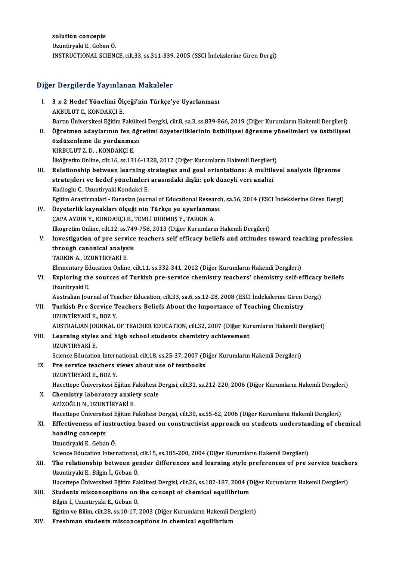solution concepts UzuntiryakiE.,GebanÖ. INSTRUCTIONAL SCIENCE, cilt.33, ss.311-339,2005 (SSCI İndekslerineGirenDergi)

#### Diğer Dergilerde Yayınlanan Makaleler

- Iğer Dergilerde Yayınlanan Makaleler<br>I. 3 x 2 Hedef Yönelimi Ölçeği'nin Türkçe'ye Uyarlanması<br>AKRULUTC KONDAKCLE 1 Der grief de Taylman<br>3 x 2 Hedef Yönelimi Öl<br>AKBULUT C., KONDAKÇI E.<br>Portu Üniversitesi Făitin E AKBULUT C., KONDAKÇI E.<br>Bartın Üniversitesi Eğitim Fakültesi Dergisi, cilt.8, sa.3, ss.839-866, 2019 (Diğer Kurumların Hakemli Dergileri)
- II. Öğretmen adaylarının fen öğretimi özyeterliklerinin üstbilişsel öğrenme yönelimleri ve üstbilişsel Bartın Üniversitesi Eğitim Fakült<mark><br>Öğretmen adaylarının fen öğ</mark><br>Özdüzenleme ile yordanması<br>KIRBIJI UT 7 D. KONDAKCI E Öğretmen adaylarının fen ö<br>özdüzenleme ile yordanma:<br>KIRBULUT Z.D., KONDAKÇI E.<br><sup>İlköğretim Online silt 16. ss 12.</sup> özdüzenleme ile yordanması<br>KIRBULUT Z. D. , KONDAKÇI E.<br>İlköğretim Online, cilt.16, ss.1316-1328, 2017 (Diğer Kurumların Hakemli Dergileri)<br>Belationabin betyeen Jeanning strategies and goal orientationa: A multiler
- KIRBULUT Z. D. , KONDAKÇI E.<br>İlköğretim Online, cilt.16, ss.1316-1328, 2017 (Diğer Kurumların Hakemli Dergileri)<br>III. Relationship between learning strategies and goal orientations: A multilevel analysis Öğrenme<br>strate İlköğretim Online, cilt.16, ss.1316-1328, 2017 (Diğer Kurumların Hakemli Dergileri<br>Relationship between learning strategies and goal orientations: A multile<br>stratejileri ve hedef yönelimleri arasındaki ılişki: çok düzeyli Kadioglu C., Uzuntiryaki Kondakci E. stratejileri ve hedef yönelimleri arasındaki ılişki: çok düzeyli veri analizi<br>Kadioglu C., Uzuntiryaki Kondakci E.<br>Egitim Arastirmalari - Eurasian Journal of Educational Research, sa.56, 2014 (ESCI İndekslerine Giren Dergi Kadioglu C., Uzuntiryaki Kondakci E.<br>Egitim Arastirmaları - Eurasian Journal of Educational Researc<br>IV. Özyeterlik kaynakları ölçeği nin Türkçe ye uyarlanması<br>CARA AYDIN Y. KONDAKCUE TEMLİ DURMUS Y. TARKIN A
- Egitim Arastirmalari Eurasian Journal of Educational Reseal<br>Özyeterlik kaynakları ölçeği nin Türkçe ye uyarlanma:<br>ÇAPA AYDIN Y., KONDAKÇI E., TEMLİ DURMUŞ Y., TARKIN A.<br>Ilkogratim Online, gilt 12, ss 749, 759, 2012 (Diğe Özyeterlik kaynakları ölçeği nin Türkçe ye uyarlanması<br>ÇAPA AYDIN Y., KONDAKÇI E., TEMLİ DURMUŞ Y., TARKIN A.<br>Ilkogretim Online, cilt.12, ss.749-758, 2013 (Diğer Kurumların Hakemli Dergileri)<br>Investigation of nee servise t CAPA AYDIN Y., KONDAKÇI E., TEMLİ DURMUŞ Y., TARKIN A.<br>Ilkogretim Online, cilt.12, ss.749-758, 2013 (Diğer Kurumların Hakemli Dergileri)<br>V. Investigation of pre service teachers self efficacy beliefs and attitudes towar
- Ilkogretim Online, cilt.12, ss.749<br>Investigation of pre service<br>through canonical analysis<br>TARKIN A UZUNTIRYAKI F through canonical analysis<br>TARKIN A., UZUNTİRYAKİ E. through canonical analysis<br>TARKIN A., UZUNTİRYAKİ E.<br>Elementary Education Online, cilt.11, ss.332-341, 2012 (Diğer Kurumların Hakemli Dergileri)<br>Evnlaring the sources of Turkish pre servise shemistru tasehers' shemistru se

TARKIN A., UZUNTİRYAKİ E.<br>Elementary Education Online, cilt.11, ss.332-341, 2012 (Diğer Kurumların Hakemli Dergileri)<br>VI. Bxploring the sources of Turkish pre-service chemistry teachers' chemistry self-efficacy beliefs<br>Unu Elementary Ec<br>**Exploring th**<br>Uzuntiryaki E.<br>Australian Iou Exploring the sources of Turkish pre-service chemistry teachers' chemistry self-efficacy<br>Uzuntiryaki E.<br>Australian Journal of Teacher Education, cilt.33, sa.6, ss.12-28, 2008 (ESCI İndekslerine Giren Dergi)<br>Turkish Pre Ser

Uzuntiryaki E.<br>Australian Journal of Teacher Education, cilt.33, sa.6, ss.12-28, 2008 (ESCI İndekslerine Giren Dergi)<br>VII. Turkish Pre Service Teachers Beliefs About the Importance of Teaching Chemistry<br>UZUNTİRYAKİ E.. Turkish Pre Service Teachers Beliefs About the Importance of Teaching Chemistry Turkish Pre Service Teachers Beliefs About the Importance of Teaching Chemistry<br>UZUNTİRYAKİ E., BOZ Y.<br>AUSTRALIAN JOURNAL OF TEACHER EDUCATION, cilt.32, 2007 (Diğer Kurumların Hakemli Dergileri)<br>Learning styles and high se

VIII. Learning styles and high school students chemistry achievement<br>UZUNTİRYAKİ E. AUSTRALIAN JOU<br>Learning styles<br>UZUNTİRYAKİ E.<br>Ssianse Edusatio

Science Education International, cilt.18, ss.25-37, 2007 (Diğer Kurumların Hakemli Dergileri)

IX. Pre service teachers views about use of textbooks UZUNTİRYAKİE.,BOZ Y. Hacettepe Üniversitesi Eğitim Fakültesi Dergisi, cilt.31, ss.212-220, 2006 (Diğer Kurumların Hakemli Dergileri)

X. Chemistry laboratory anxiety scale AZİZOĞLU N., UZUNTİRYAKİ E. Chemistry laboratory anxiety scale<br>AZİZOĞLU N., UZUNTİRYAKİ E.<br>Hacettepe Üniversitesi Eğitim Fakültesi Dergisi, cilt.30, ss.55-62, 2006 (Diğer Kurumların Hakemli Dergileri)<br>Effectiveness of instruction based en constructiv

### XI. Effectiveness of instruction based on constructivist approach on students understanding of chemical Hacettepe Üniversite<br>Effectiveness of in<br>bonding concepts<br>Umntimali E. Cebes

UzuntiryakiE.,GebanÖ.

Science Education International, cilt.15, ss.185-200, 2004 (Diğer Kurumların Hakemli Dergileri)

Uzuntiryaki E., Geban Ö.<br>Science Education International, cilt.15, ss.185-200, 2004 (Diğer Kurumların Hakemli Dergileri)<br>XII. The relationship between gender differences and learning style preferences of pre service te Science Education International,<br>The relationship between ge<br>Uzuntiryaki E., Bilgin İ., Geban Ö.<br>Hasettana Üniversitesi Eğitim Fa The relationship between gender differences and learning style preferences of pre service teache<br>Uzuntiryaki E., Bilgin İ., Geban Ö.<br>Hacettepe Üniversitesi Eğitim Fakültesi Dergisi, cilt.26, ss.182-187, 2004 (Diğer Kurumla Uzuntiryaki E., Bilgin İ., Geban Ö.<br>Hacettepe Üniversitesi Eğitim Fakültesi Dergisi, cilt.26, ss.182-187, 2004 (Diğer Kurumların Hakemli Dergileri)<br>XIII. Students misconceptions on the concept of chemical equilibrium

- Bilginİ.,UzuntiryakiE.,GebanÖ. Eğitim ve Bilim, cilt.28, ss.10-17, 2003 (Diğer Kurumların Hakemli Dergileri)
- XIV. Freshman students misconceptions in chemical equilibrium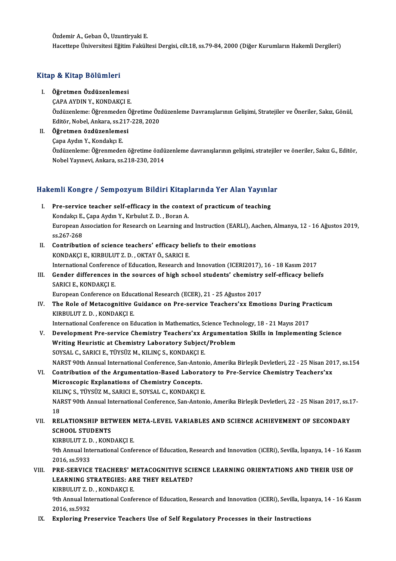ÖzdemirA.,GebanÖ.,UzuntiryakiE.

Hacettepe Üniversitesi Eğitim Fakültesi Dergisi, cilt.18, ss.79-84, 2000 (Diğer Kurumların Hakemli Dergileri)

#### Kitap & Kitap Bölümleri

#### I. Öğretmen Özdüzenlemesi

ÇAPA AYDINY, KONDAKÇI E. **Öğretmen Özdüzenlemesi**<br>ÇAPA AYDIN Y., KONDAKÇI E.<br>Özdüzenleme: Öğrenmeden Öğretime Özdüzenleme Davranışlarının Gelişimi, Stratejiler ve Öneriler, Sakız, Gönül, ÇAPA AYDIN Y., KONDAKÇI E.<br>Özdüzenleme: Öğrenmeden Öğretime Öz<br>Editör, Nobel, Ankara, ss.217-228, 2020<br>Öğretmen özdürenlemesi Editör, Nobel, Ankara, ss.217-228, 2020<br>II. Öğretmen özdüzenlemesi

ÇapaAydınY.,KondakçıE.

Özdüzenleme: Öğrenmeden öğretime özdüzenleme davranışlarının gelişimi, stratejiler ve öneriler, Sakız G., Editör, NobelYayınevi,Ankara, ss.218-230,2014

# 1990 Nobel Yayınevi, Ankara, ss.218-230, 2014<br>Hakemli Kongre / Sempozyum Bildiri Kitaplarında Yer Alan Yayınlar

- akemli Kongre / Sempozyum Bildiri Kitaplarında Yer Alan Yayınla<br>I. Pre-service teacher self-efficacy in the context of practicum of teaching<br>Kondaka E. Cana Audu Y. Kurbulut Z. D. Boran A. I. Pre-service teacher self-efficacy in the context of practicum of teaching European Association for Research on Learning and Instruction (EARLI), Aachen, Almanya, 12 - 16 Ağustos 2019,<br>ss.267-268 Kondakçı E., Çapa Aydın Y., Kırbulut Z. D., Boran A. European Association for Research on Learning and Instruction (EARLI), Aa<br>ss.267-268<br>II. Contribution of science teachers' efficacy beliefs to their emotions<br>KONDAKCLE KIPPIILITZ D. OKTAY Ö. SAPICLE
- ss.267-268<br>Contribution of science teachers' efficacy bel<br>KONDAKÇI E., KIRBULUT Z. D. , OKTAY Ö., SARICI E.<br>International Conference of Education, Beseensh an Contribution of science teachers' efficacy beliefs to their emotions<br>KONDAKÇI E., KIRBULUT Z. D. , OKTAY Ö., SARICI E.<br>International Conference of Education, Research and Innovation (ICERI2017), 16 - 18 Kasım 2017<br>Conder d
- KONDAKÇI E., KIRBULUT Z. D. , OKTAY Ö., SARICI E.<br>International Conference of Education, Research and Innovation (ICERI2017), 16 18 Kasım 2017<br>III. Gender differences in the sources of high school students' chemistry sel International Conference<br>Gender differences in<br>SARICI E., KONDAKÇI E.<br>European Conference e

European Conference on Educational Research (ECER), 21 - 25 Ağustos 2017

SARICI E., KONDAKÇI E.<br>European Conference on Educational Research (ECER), 21 - 25 Ağustos 2017<br>IV. The Role of Metacognitive Guidance on Pre-service Teachers'xx Emotions During Practicum<br>EUREULUTZ D. FONDAFCLE European Conference on Educ<br>The Role of Metacognitive<br>KIRBULUT Z.D., KONDAKÇI E.<br>International Conference on Es The Role of Metacognitive Guidance on Pre-service Teachers'xx Emotions During Pra<br>KIRBULUT Z.D., KONDAKÇI E.<br>International Conference on Education in Mathematics, Science Technology, 18 - 21 Mayıs 2017<br>Development Pre-serv

International Conference on Education in Mathematics, Science Technology, 18 - 21 Mayıs 2017

- KIRBULUT Z. D., KONDAKÇI E.<br>International Conference on Education in Mathematics, Science Technology, 18 21 Mayıs 2017<br>V. Development Pre-service Chemistry Teachers'xx Argumentation Skills in Implementing Science<br>Writing SOYSAL C., SARICI E., TÜYSÜZ M., KILINÇ S., KONDAKÇI E. NARST90thAnnual InternationalConference,San-Antonio,AmerikaBirleşikDevletleri,22 -25Nisan2017, ss.154
- VI. Contribution of the Argumentation-Based Laboratory to Pre-Service Chemistry Teachers'xx NARST 90th Annual International Conference, San-Anton<br>Contribution of the Argumentation-Based Labora<br>Microscopic Explanations of Chemistry Concepts.<br>VILING S. TÜVSÜZ M. SARICLE, SOVSAL G. KONDAKCLE Contribution of the Argumentation-Based Laborat<br>Microscopic Explanations of Chemistry Concepts.<br>KILINÇ S., TÜYSÜZ M., SARICI E., SOYSAL C., KONDAKÇI E.<br>NARST 90th Annual International Conference San Anton Microscopic Explanations of Chemistry Concepts.<br>KILINÇ S., TÜYSÜZ M., SARICI E., SOYSAL C., KONDAKÇI E.<br>NARST 90th Annual International Conference, San-Antonio, Amerika Birleşik Devletleri, 22 - 25 Nisan 2017, ss.17-<br>19 KILINÇ S., TÜYSÜZ M., SARICI E., SOYSAL C., KONDAKÇI E.<br>NARST 90th Annual International Conference, San-Anton<br>18

NARST 90th Annual International Conference, San-Antonio, Amerika Birleşik Devletleri, 22 - 25 Nisan 2017, ss.1<br>18<br>VII. RELATIONSHIP BETWEEN META-LEVEL VARIABLES AND SCIENCE ACHIEVEMENT OF SECONDARY<br>SCHOOL STUDENTS VII. RELATIONSHIP BETWEEN META-LEVEL VARIABLES AND SCIENCE ACHIEVEMENT OF SECONDARY<br>SCHOOL STUDENTS RELATIONSHIP BETWEEN<br>SCHOOL STUDENTS<br>KIRBULUT Z. D. , KONDAKÇI E.<br><sup>Oth Annual International Confe</sub></sup>

9th Annual International Conference of Education, Research and Innovation (iCERi), Sevilla, İspanya, 14 - 16 Kasım<br>2016, ss.5933 KIRBULUT Z.D<br>9th Annual Inte<br>2016, ss.5933<br>PPE SERVICE 9th Annual International Conference of Education, Research and Innovation (iCERi), Sevilla, İspanya, 14 - 16 Kas:<br>2016, ss.5933<br>VIII. PRE-SERVICE TEACHERS' METACOGNITIVE SCIENCE LEARNING ORIENTATIONS AND THEIR USE OF

2016, ss.5933<br>PRE-SERVICE TEACHERS' METACOGNITIVE SCI<br>LEARNING STRATEGIES: ARE THEY RELATED?<br>KIRRULUTZ D., KONDAKCLE PRE-SERVICE TEACHERS' M<br>LEARNING STRATEGIES: AF<br>KIRBULUT Z. D. , KONDAKÇI E.<br><sup>Oth Annual International Confe</sub></sup>

LEARNING STRATEGIES: ARE THEY RELATED?<br>KIRBULUT Z. D. , KONDAKÇI E.<br>9th Annual International Conference of Education, Research and Innovation (iCERi), Sevilla, İspanya, 14 - 16 Kasım<br>2016.cs E022 KIRBULUT Z. D<br>9th Annual Inte<br>2016, ss.5932<br>Exploring Pre

IX. Exploring Preservice Teachers Use of Self Regulatory Processes in their Instructions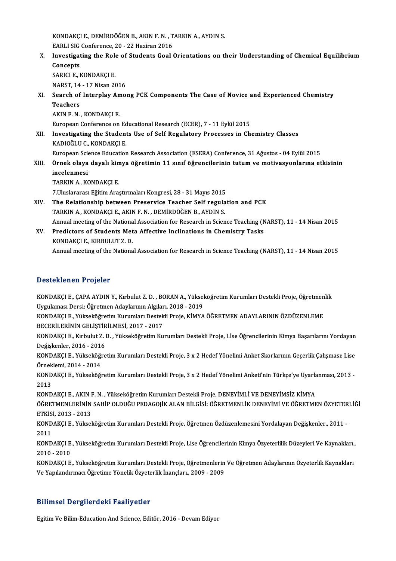KONDAKÇI E., DEMİRDÖĞEN B., AKIN F. N. , TARKIN A., AYDIN S.<br>FARLI SIÇ ÇOPFARARSA 20, 22 Haziran 2016 KONDAKÇI E., DEMİRDÖĞEN B., AKIN F. N. , T.<br>EARLI SIG Conference, 20 - 22 Haziran 2016<br>Investisatins the Bole of Students Cool ( EARLI SIG Conference, 20 - 22 Haziran 2016

- X. Investigating the Role of Students Goal Orientations on their Understanding of Chemical Equilibrium SARICI E., KONDAKÇI E. NARST, 14 - 17 Nisan 2016
- SARICI E., KONDAKÇI E.<br>NARST, 14 17 Nisan 2016<br>XI. Search of Interplay Among PCK Components The Case of Novice and Experienced Chemistry<br>Teachers NARST, 14<br>Search of<br>Teachers<br>AKIN E N Search of Interplay Am<br>Teachers<br>AKIN F.N., KONDAKÇI E.<br>European Conference on

Teachers<br>AKIN F. N. , KONDAKÇI E.<br>European Conference on Educational Research (ECER), 7 - 11 Eylül 2015

AKIN F. N. , KONDAKÇI E.<br>European Conference on Educational Research (ECER), 7 - 11 Eylül 2015<br>XII. Investigating the Students Use of Self Regulatory Processes in Chemistry Classes<br>KADIOČU I.C. KONDAKCLE European Conference on Ed<br>Investigating the Student<br>KADIOĞLU C., KONDAKÇI E.<br>European Scionce Education Investigating the Students Use of Self Regulatory Processes in Chemistry Classes<br>KADIOĞLU C., KONDAKÇI E.<br>European Science Education Research Association (ESERA) Conference, 31 Ağustos - 04 Eylül 2015<br>Önnek eleve devel: ki KADIOĞLU C., KONDAKÇI E.<br>European Science Education Research Association (ESERA) Conference, 31 Ağustos - 04 Eylül 2015<br>XIII. Örnek olaya dayalı kimya öğretimin 11 sınıf öğrencilerinin tutum ve motivasyonlarına etkisin European Scien<br><mark>Örnek olaya</mark><br>incelenmesi<br>TARKIN A. KG Örnek olaya dayalı kin<br>incelenmesi<br>TARKIN A., KONDAKÇI E.<br>7 Uluslanaresi Eğitim Are incelenmesi<br>TARKIN A., KONDAKÇI E.<br>7.Uluslararası Eğitim Araştırmaları Kongresi, 28 - 31 Mayıs 2015

- XIV. The Relationship between Preservice Teacher Self regulation and PCK TARKIN A., KONDAKÇI E., AKIN F. N., DEMİRDÖĞEN B., AYDIN S. The Relationship between Preservice Teacher Self regulation and PCK<br>TARKIN A., KONDAKÇI E., AKIN F. N. , DEMİRDÖĞEN B., AYDIN S.<br>Annual meeting of the National Association for Research in Science Teaching (NARST), 11 - 14 TARKIN A., KONDAKÇI E., AKIN F. N. , DEMİRDÖĞEN B., AYDIN S.<br>Annual meeting of the National Association for Research in Science Teaching (NXV. Predictors of Students Meta Affective Inclinations in Chemistry Tasks<br>KONDAKCLE
- Annual meeting of the Nationa<br>Predictors of Students Met<br>KONDAKÇI E., KIRBULUT Z. D.<br>Annual meeting of the Nationa Predictors of Students Meta Affective Inclinations in Chemistry Tasks<br>KONDAKÇI E., KIRBULUT Z. D.<br>Annual meeting of the National Association for Research in Science Teaching (NARST), 11 - 14 Nisan 2015

#### Desteklenen Projeler

KONDAKÇI E., ÇAPA AYDIN Y., Kırbulut Z. D. , BORAN A., Yükseköğretim Kurumları Destekli Proje, Öğretmenlik Uygulaması Dersi: Öğretmen Adaylarının Algıları, 2018 - 2019 KONDAKÇI E., ÇAPA AYDIN Y., Kırbulut Z. D. , BORAN A., Yükseköğretim Kurumları Destekli Proje, Öğretmen<br>Uygulaması Dersi: Öğretmen Adaylarının Algıları, 2018 - 2019<br>KONDAKÇI E., Yükseköğretim Kurumları Destekli Proje, KİMY

Uygulaması Dersi: Öğretmen Adaylarının Algılar<br>KONDAKÇI E., Yükseköğretim Kurumları Destek<br>BECERİLERİNİN GELİŞTİRİLMESİ, 2017 - 2017<br>KONDAKÇI E. Kırbulut 7. D., Yükseköğretim Ku BECERİLERİNİN GELİŞTİRİLMESİ, 2017 - 2017

KONDAKÇI E., Kırbulut Z. D. , Yükseköğretim Kurumları Destekli Proje, Lİse Öğrencilerinin Kimya Başarılarını Yordayan<br>Değişkenler, 2016 - 2016 KONDAKÇI E., Kırbulut Z. D. , Yükseköğretim Kurumları Destekli Proje, Lİse Öğrencilerinin Kimya Başarılarını Yordayan<br>Değişkenler, 2016 - 2016<br>KONDAKÇI E., Yükseköğretim Kurumları Destekli Proje, 3 x 2 Hedef Yönelimi Anket

Değişkenler, 2016 - 2016<br>KONDAKÇI E., Yükseköğı<br>Örneklemi, 2014 - 2014<br>KONDAKÇI E. Yükseköğ KONDAKÇI E., Yükseköğretim Kurumları Destekli Proje, 3 x 2 Hedef Yönelimi Anket Skorlarının Geçerlik Çalışması: Lise<br>Örneklemi, 2014 - 2014<br>KONDAKÇI E., Yükseköğretim Kurumları Destekli Proje, 3 x 2 Hedef Yönelimi Anketi'n

Örneklemi, 2014 - 2014<br>KONDAKÇI E., Yükseköğretim Kurumları Destekli Proje, 3 x 2 Hedef Yönelimi Anketi'nin Türkçe'ye Uyarl<br>2013<br>KONDAKCI E., AKIN F. N. , Yükseköğretim Kurumları Destekli Proje, DENEYİMLİ VE DENEYİMSİZ KİM KONDAKÇI E., Yükseköğretim Kurumları Destekli Proje, 3 x 2 Hedef Yönelimi Anketi'nin Türkçe'ye Uyarlanması, 2013 -

2013<br>KONDAKÇI E., AKIN F. N. , Yükseköğretim Kurumları Destekli Proje, DENEYİMLİ VE DENEYİMSİZ KİMYA<br>ÖĞRETMENLERİNİN SAHİP OLDUĞU PEDAGOJİK ALAN BİLGİSİ: ÖĞRETMENLİK DENEYİMİ VE ÖĞRETMEN ÖZYETERLİĞİ<br>FTKİSİ 2012 - 2012 KONDAKÇI E., AKIN I<br>ÖĞRETMENLERİNİN<br>ETKİSİ, 2013 - 2013<br>KONDAKÇI E. Vüksel ÖĞRETMENLERİNİN SAHİP OLDUĞU PEDAGOJİK ALAN BİLGİSİ: ÖĞRETMENLİK DENEYİMİ VE ÖĞRETMEN ÖZYETER<br>ETKİSİ, 2013 - 2013<br>KONDAKÇI E., Yükseköğretim Kurumları Destekli Proje, Öğretmen Özdüzenlemesini Yordalayan Değişkenler., 2011

ETKİSİ, 2013 - 2013<br>KONDAKÇI E., Yükseköğretim Kurumları Destekli Proje, Öğretmen Özdüzenlemesini Yordalayan Değişkenler., 2011 -<br>2011 KONDAKÇI E., Yükseköğretim Kurumları Destekli Proje, Öğretmen Özdüzenlemesini Yordalayan Değişkenler., 2011 -<br>2011<br>KONDAKÇI E., Yükseköğretim Kurumları Destekli Proje, Lise Öğrencilerinin Kimya Özyeterlilik Düzeyleri Ve Ka

2011<br>KONDAKÇI E<br>2010 - 2010<br>KONDAKÇI E KONDAKÇI E., Yükseköğretim Kurumları Destekli Proje, Lise Öğrencilerinin Kimya Özyeterlilik Düzeyleri Ve Kaynakları.<br>2010 - 2010<br>KONDAKÇI E., Yükseköğretim Kurumları Destekli Proje, Öğretmenlerin Ve Öğretmen Adaylarının Öz

2010 - 2010<br>KONDAKÇI E., Yükseköğretim Kurumları Destekli Proje, Öğretmenlerin<br>Ve Yapılandırmacı Öğretime Yönelik Özyeterlik İnançları., 2009 - 2009 Ve Yapılandırmacı Öğretime Yönelik Özyeterlik İnançları., 2009 - 2009<br>Bilimsel Dergilerdeki Faaliyetler

Egitim Ve Bilim-Education And Science, Editör, 2016 - Devam Ediyor